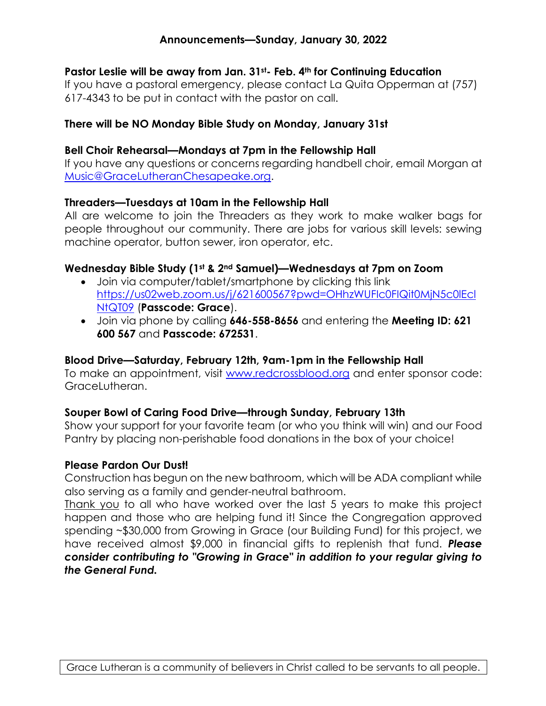## **Announcements—Sunday, January 30, 2022**

## **Pastor Leslie will be away from Jan. 31st- Feb. 4th for Continuing Education**

If you have a pastoral emergency, please contact La Quita Opperman at (757) 617-4343 to be put in contact with the pastor on call.

### **There will be NO Monday Bible Study on Monday, January 31st**

#### **Bell Choir Rehearsal—Mondays at 7pm in the Fellowship Hall**

If you have any questions or concerns regarding handbell choir, email Morgan at Music@GraceLutheranChesapeake.org.

#### **Threaders—Tuesdays at 10am in the Fellowship Hall**

All are welcome to join the Threaders as they work to make walker bags for people throughout our community. There are jobs for various skill levels: sewing machine operator, button sewer, iron operator, etc.

## **Wednesday Bible Study (1st & 2nd Samuel)—Wednesdays at 7pm on Zoom**

- Join via computer/tablet/smartphone by clicking this link https://us02web.zoom.us/j/621600567?pwd=OHhzWUFIc0FIQit0MjN5c0lEcl NtQT09 (**Passcode: Grace**).
- Join via phone by calling **646-558-8656** and entering the **Meeting ID: 621 600 567** and **Passcode: 672531**.

## **Blood Drive—Saturday, February 12th, 9am-1pm in the Fellowship Hall**

To make an appointment, visit www.redcrossblood.org and enter sponsor code: GraceLutheran.

## **Souper Bowl of Caring Food Drive—through Sunday, February 13th**

Show your support for your favorite team (or who you think will win) and our Food Pantry by placing non-perishable food donations in the box of your choice!

#### **Please Pardon Our Dust!**

Construction has begun on the new bathroom, which will be ADA compliant while also serving as a family and gender-neutral bathroom.

Thank you to all who have worked over the last 5 years to make this project happen and those who are helping fund it! Since the Congregation approved spending ~\$30,000 from Growing in Grace (our Building Fund) for this project, we have received almost \$9,000 in financial gifts to replenish that fund. *Please consider contributing to "Growing in Grace" in addition to your regular giving to the General Fund.*